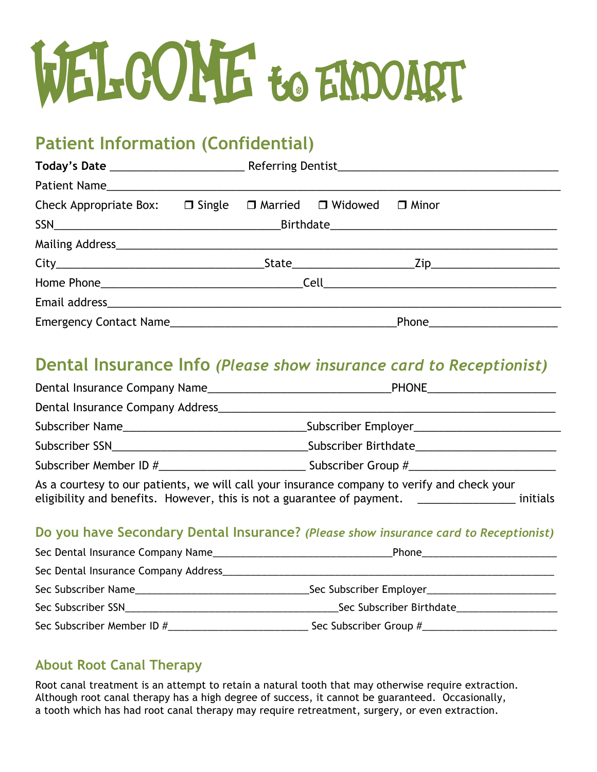# WELCOME to ENDOART

# **Patient Information (Confidential)**

| Check Appropriate Box: $\Box$ Single $\Box$ Married $\Box$ Widowed $\Box$ Minor |  |  |  |                                |  |  |  |
|---------------------------------------------------------------------------------|--|--|--|--------------------------------|--|--|--|
|                                                                                 |  |  |  |                                |  |  |  |
|                                                                                 |  |  |  |                                |  |  |  |
|                                                                                 |  |  |  |                                |  |  |  |
|                                                                                 |  |  |  |                                |  |  |  |
|                                                                                 |  |  |  |                                |  |  |  |
|                                                                                 |  |  |  | Phone_________________________ |  |  |  |

## **Dental Insurance Info** *(Please show insurance card to Receptionist)*

| Dental Insurance Company Name                                                                                                                                                                                                  | PHONE_________________________                                                                                                                                                                                                   |  |  |  |  |  |
|--------------------------------------------------------------------------------------------------------------------------------------------------------------------------------------------------------------------------------|----------------------------------------------------------------------------------------------------------------------------------------------------------------------------------------------------------------------------------|--|--|--|--|--|
|                                                                                                                                                                                                                                |                                                                                                                                                                                                                                  |  |  |  |  |  |
|                                                                                                                                                                                                                                |                                                                                                                                                                                                                                  |  |  |  |  |  |
| Subscriber SSN and the state of the state of the state of the state of the state of the state of the state of the state of the state of the state of the state of the state of the state of the state of the state of the stat | Subscriber Birthdate <b>Subscriber</b> Birthdate                                                                                                                                                                                 |  |  |  |  |  |
| Subscriber Member ID # 4                                                                                                                                                                                                       |                                                                                                                                                                                                                                  |  |  |  |  |  |
|                                                                                                                                                                                                                                | $\mathbf{H}$ and the contract of the contract of the contract of the contract of the contract of the contract of the contract of the contract of the contract of the contract of the contract of the contract of the contract of |  |  |  |  |  |

As a courtesy to our patients, we will call your insurance company to verify and check your eligibility and benefits. However, this is not a guarantee of payment. <u>\_\_\_\_\_\_\_\_\_\_\_\_</u> initials

### **Do you have Secondary Dental Insurance?** *(Please show insurance card to Receptionist)*

| Sec Dental Insurance Company Name                                                                                                                                                                                              | Phone 2008 2010 2021 2022 2023 2024 2022 2022 2023 2024 2022 2023 2024 2022 2023 2024 2022 2023 2024 2025 2026 |
|--------------------------------------------------------------------------------------------------------------------------------------------------------------------------------------------------------------------------------|----------------------------------------------------------------------------------------------------------------|
| Sec Dental Insurance Company Address_                                                                                                                                                                                          |                                                                                                                |
| Sec Subscriber Name                                                                                                                                                                                                            | Sec Subscriber Employer___________________                                                                     |
| Sec Subscriber SSN Entrancement of the Second Second Second Second Second Second Second Second Second Second Second Second Second Second Second Second Second Second Second Second Second Second Second Second Second Second S | Sec Subscriber Birthdate                                                                                       |
|                                                                                                                                                                                                                                | Sec Subscriber Group #___________                                                                              |

## **About Root Canal Therapy**

Root canal treatment is an attempt to retain a natural tooth that may otherwise require extraction. Although root canal therapy has a high degree of success, it cannot be guaranteed. Occasionally, a tooth which has had root canal therapy may require retreatment, surgery, or even extraction.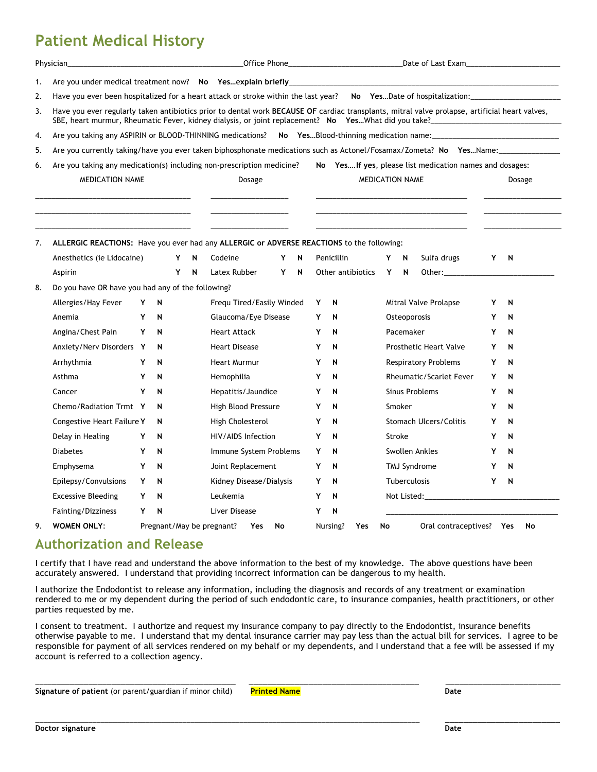## **Patient Medical History**

|    | Physician_                                                                                                                                                                                                                                            |                                                                                                                    |   |   |        |                           |                 |    |   |   |                   |        |              |                                                                                                                                                                                                                                |   |              |    |
|----|-------------------------------------------------------------------------------------------------------------------------------------------------------------------------------------------------------------------------------------------------------|--------------------------------------------------------------------------------------------------------------------|---|---|--------|---------------------------|-----------------|----|---|---|-------------------|--------|--------------|--------------------------------------------------------------------------------------------------------------------------------------------------------------------------------------------------------------------------------|---|--------------|----|
| 1. | Are you under medical treatment now? No Yesexplain briefly entitled and the control of the control of the control of the control of the control of the control of the control of the control of the control of the control                            |                                                                                                                    |   |   |        |                           |                 |    |   |   |                   |        |              |                                                                                                                                                                                                                                |   |              |    |
| 2. | Have you ever been hospitalized for a heart attack or stroke within the last year? No YesDate of hospitalization:                                                                                                                                     |                                                                                                                    |   |   |        |                           |                 |    |   |   |                   |        |              |                                                                                                                                                                                                                                |   |              |    |
| 3. | Have you ever regularly taken antibiotics prior to dental work BECAUSE OF cardiac transplants, mitral valve prolapse, artificial heart valves,<br>SBE, heart murmur, Rheumatic Fever, kidney dialysis, or joint replacement? No YesWhat did you take? |                                                                                                                    |   |   |        |                           |                 |    |   |   |                   |        |              |                                                                                                                                                                                                                                |   |              |    |
| 4. | Are you taking any ASPIRIN or BLOOD-THINNING medications? No YesBlood-thinning medication name:                                                                                                                                                       |                                                                                                                    |   |   |        |                           |                 |    |   |   |                   |        |              |                                                                                                                                                                                                                                |   |              |    |
| 5. |                                                                                                                                                                                                                                                       | Are you currently taking/have you ever taken biphosphonate medications such as Actonel/Fosamax/Zometa? No YesName: |   |   |        |                           |                 |    |   |   |                   |        |              |                                                                                                                                                                                                                                |   |              |    |
| 6. | Are you taking any medication(s) including non-prescription medicine?<br>No Yes If yes, please list medication names and dosages:                                                                                                                     |                                                                                                                    |   |   |        |                           |                 |    |   |   |                   |        |              |                                                                                                                                                                                                                                |   |              |    |
|    | MEDICATION NAME                                                                                                                                                                                                                                       |                                                                                                                    |   |   | Dosage |                           | MEDICATION NAME |    |   |   |                   | Dosage |              |                                                                                                                                                                                                                                |   |              |    |
| 7. | ALLERGIC REACTIONS: Have you ever had any ALLERGIC or ADVERSE REACTIONS to the following:                                                                                                                                                             |                                                                                                                    |   |   |        |                           |                 |    |   |   |                   |        |              |                                                                                                                                                                                                                                |   |              |    |
|    | Anesthetics (ie Lidocaine)                                                                                                                                                                                                                            |                                                                                                                    |   | Y | N      | Codeine                   |                 | Y  | N |   | Penicillin        | Y      | N            | Sulfa drugs                                                                                                                                                                                                                    | Y | $\mathsf{N}$ |    |
|    | Aspirin                                                                                                                                                                                                                                               |                                                                                                                    |   | Y | N      | Latex Rubber              |                 | Y  | N |   | Other antibiotics | Y      | N            |                                                                                                                                                                                                                                |   |              |    |
| 8. | Do you have OR have you had any of the following?                                                                                                                                                                                                     |                                                                                                                    |   |   |        |                           |                 |    |   |   |                   |        |              |                                                                                                                                                                                                                                |   |              |    |
|    | Allergies/Hay Fever                                                                                                                                                                                                                                   | Y                                                                                                                  | N |   |        | Fregu Tired/Easily Winded |                 |    |   | Υ | N                 |        |              | Mitral Valve Prolapse                                                                                                                                                                                                          | Y | N            |    |
|    | Anemia                                                                                                                                                                                                                                                | Y                                                                                                                  | N |   |        | Glaucoma/Eye Disease      |                 |    |   | Y | N                 |        | Osteoporosis |                                                                                                                                                                                                                                | Y | N            |    |
|    | Angina/Chest Pain                                                                                                                                                                                                                                     | Y                                                                                                                  | N |   |        | <b>Heart Attack</b>       |                 |    |   | Y | N                 |        | Pacemaker    |                                                                                                                                                                                                                                | Y | N            |    |
|    | Anxiety/Nerv Disorders Y                                                                                                                                                                                                                              |                                                                                                                    | N |   |        | <b>Heart Disease</b>      |                 |    |   | Y | N                 |        |              | <b>Prosthetic Heart Valve</b>                                                                                                                                                                                                  | Y | N            |    |
|    | Arrhythmia                                                                                                                                                                                                                                            | Y                                                                                                                  | N |   |        | <b>Heart Murmur</b>       |                 |    |   | Y | N                 |        |              | <b>Respiratory Problems</b>                                                                                                                                                                                                    | Y | N            |    |
|    | Asthma                                                                                                                                                                                                                                                | Y                                                                                                                  | N |   |        | Hemophilia                |                 |    |   | Y | N                 |        |              | <b>Rheumatic/Scarlet Fever</b>                                                                                                                                                                                                 | Y | N            |    |
|    | Cancer                                                                                                                                                                                                                                                | Y                                                                                                                  | N |   |        | Hepatitis/Jaundice        |                 |    |   | Y | N                 |        |              | Sinus Problems                                                                                                                                                                                                                 | Y | N            |    |
|    | Chemo/Radiation Trmt Y                                                                                                                                                                                                                                |                                                                                                                    | N |   |        | High Blood Pressure       |                 |    |   | Y | N                 |        | Smoker       |                                                                                                                                                                                                                                | Y | N            |    |
|    | Congestive Heart Failure Y                                                                                                                                                                                                                            |                                                                                                                    | N |   |        | High Cholesterol          |                 |    |   | Y | N                 |        |              | <b>Stomach Ulcers/Colitis</b>                                                                                                                                                                                                  | Y | N            |    |
|    | Delay in Healing                                                                                                                                                                                                                                      | Y                                                                                                                  | N |   |        | HIV/AIDS Infection        |                 |    |   | Y | N                 |        | Stroke       |                                                                                                                                                                                                                                | Y | N            |    |
|    | <b>Diabetes</b>                                                                                                                                                                                                                                       | Y                                                                                                                  | N |   |        | Immune System Problems    |                 |    |   | Y | N                 |        |              | Swollen Ankles                                                                                                                                                                                                                 | Y | N            |    |
|    | Emphysema                                                                                                                                                                                                                                             | Y                                                                                                                  | N |   |        | Joint Replacement         |                 |    |   | Y | N                 |        |              | TMJ Syndrome                                                                                                                                                                                                                   | Y | N            |    |
|    | Epilepsy/Convulsions                                                                                                                                                                                                                                  | Y                                                                                                                  | N |   |        | Kidney Disease/Dialysis   |                 |    |   | Y | N                 |        | Tuberculosis |                                                                                                                                                                                                                                | Y | N            |    |
|    | <b>Excessive Bleeding</b>                                                                                                                                                                                                                             | Y                                                                                                                  | N |   |        | Leukemia                  |                 |    |   | Y | N                 |        |              | Not Listed: the contract of the contract of the contract of the contract of the contract of the contract of the contract of the contract of the contract of the contract of the contract of the contract of the contract of th |   |              |    |
|    | Fainting/Dizziness                                                                                                                                                                                                                                    | Y                                                                                                                  | N |   |        | <b>Liver Disease</b>      |                 |    |   | Y | N                 |        |              |                                                                                                                                                                                                                                |   |              |    |
| 9. | <b>WOMEN ONLY:</b>                                                                                                                                                                                                                                    |                                                                                                                    |   |   |        | Pregnant/May be pregnant? | Yes             | No |   |   | Nursing?<br>Yes   | No     |              | Oral contraceptives? Yes                                                                                                                                                                                                       |   |              | No |

## **Authorization and Release**

I certify that I have read and understand the above information to the best of my knowledge. The above questions have been accurately answered. I understand that providing incorrect information can be dangerous to my health.

I authorize the Endodontist to release any information, including the diagnosis and records of any treatment or examination rendered to me or my dependent during the period of such endodontic care, to insurance companies, health practitioners, or other parties requested by me.

I consent to treatment. I authorize and request my insurance company to pay directly to the Endodontist, insurance benefits otherwise payable to me. I understand that my dental insurance carrier may pay less than the actual bill for services. I agree to be responsible for payment of all services rendered on my behalf or my dependents, and I understand that a fee will be assessed if my account is referred to a collection agency.

\_\_\_\_\_\_\_\_\_\_\_\_\_\_\_\_\_\_\_\_\_\_\_\_\_\_\_\_\_\_\_\_\_\_\_\_\_\_\_\_\_\_\_\_\_\_\_\_\_\_\_\_\_\_\_\_\_\_\_\_\_\_\_\_\_\_\_\_\_\_\_\_\_\_\_\_\_\_\_\_\_\_\_\_\_\_\_\_\_\_\_\_\_\_ \_\_\_\_\_\_\_\_\_\_\_\_\_\_\_\_\_\_\_\_\_\_\_\_\_

\_\_\_\_\_\_\_\_\_\_\_\_\_\_\_\_\_\_\_\_\_\_\_\_\_\_\_\_\_\_\_\_\_\_\_\_\_\_\_\_\_\_\_\_ \_\_\_\_\_\_\_\_\_\_\_\_\_\_\_\_\_\_\_\_\_\_\_\_\_\_\_\_\_\_\_\_\_\_\_\_\_ \_\_\_\_\_\_\_\_\_\_\_\_\_\_\_\_\_\_\_\_\_\_\_\_\_ **Signature of patient** (or parent/guardian if minor child) **Printed Name Date**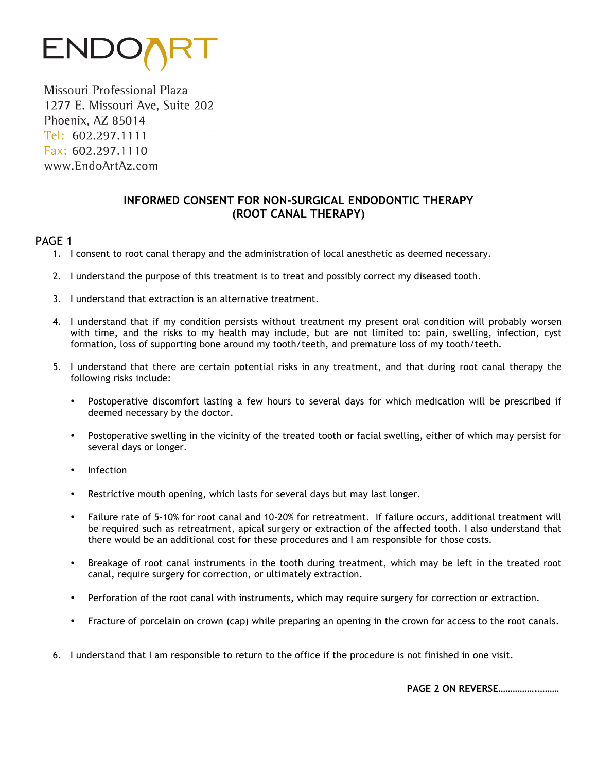

Missouri Professional Plaza 1277 E. Missouri Ave, Suite 202 Phoenix, AZ 85014 Tel: 602.297.1111 Fax: 602.297.1110 www.EndoArtAz.com

#### **INFORMED CONSENT FOR NON-SURGICAL ENDODONTIC THERAPY (ROOT CANAL THERAPY)**

#### PAGE 1

- 1. I consent to root canal therapy and the administration of local anesthetic as deemed necessary.
- 2. I understand the purpose of this treatment is to treat and possibly correct my diseased tooth.
- 3. I understand that extraction is an alternative treatment.
- 4. I understand that if my condition persists without treatment my present oral condition will probably worsen with time, and the risks to my health may include, but are not limited to: pain, swelling, infection, cyst formation, loss of supporting bone around my tooth/teeth, and premature loss of my tooth/teeth.
- 5. I understand that there are certain potential risks in any treatment, and that during root canal therapy the following risks include:
	- Postoperative discomfort lasting a few hours to several days for which medication will be prescribed if deemed necessary by the doctor.
	- Postoperative swelling in the vicinity of the treated tooth or facial swelling, either of which may persist for several days or longer.
	- Infection
	- Restrictive mouth opening, which lasts for several days but may last longer.
	- Failure rate of 5-10% for root canal and 10-20% for retreatment. If failure occurs, additional treatment will be required such as retreatment, apical surgery or extraction of the affected tooth. I also understand that there would be an additional cost for these procedures and I am responsible for those costs.
	- Breakage of root canal instruments in the tooth during treatment, which may be left in the treated root canal, require surgery for correction, or ultimately extraction.
	- Perforation of the root canal with instruments, which may require surgery for correction or extraction.
	- Fracture of porcelain on crown (cap) while preparing an opening in the crown for access to the root canals.
- 6. I understand that I am responsible to return to the office if the procedure is not finished in one visit.

 **PAGE 2 ON REVERSE…………….………**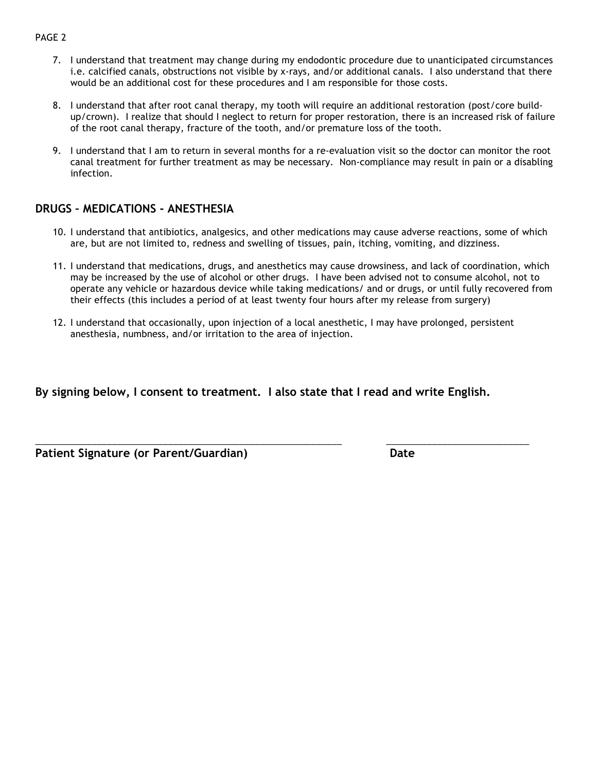#### PAGE 2

- 7. I understand that treatment may change during my endodontic procedure due to unanticipated circumstances i.e. calcified canals, obstructions not visible by x-rays, and/or additional canals. I also understand that there would be an additional cost for these procedures and I am responsible for those costs.
- 8. I understand that after root canal therapy, my tooth will require an additional restoration (post/core buildup/crown). I realize that should I neglect to return for proper restoration, there is an increased risk of failure of the root canal therapy, fracture of the tooth, and/or premature loss of the tooth.
- 9. I understand that I am to return in several months for a re-evaluation visit so the doctor can monitor the root canal treatment for further treatment as may be necessary. Non-compliance may result in pain or a disabling infection.

#### **DRUGS – MEDICATIONS - ANESTHESIA**

- 10. I understand that antibiotics, analgesics, and other medications may cause adverse reactions, some of which are, but are not limited to, redness and swelling of tissues, pain, itching, vomiting, and dizziness.
- 11. I understand that medications, drugs, and anesthetics may cause drowsiness, and lack of coordination, which may be increased by the use of alcohol or other drugs. I have been advised not to consume alcohol, not to operate any vehicle or hazardous device while taking medications/ and or drugs, or until fully recovered from their effects (this includes a period of at least twenty four hours after my release from surgery)
- 12. I understand that occasionally, upon injection of a local anesthetic, I may have prolonged, persistent anesthesia, numbness, and/or irritation to the area of injection.

\_\_\_\_\_\_\_\_\_\_\_\_\_\_\_\_\_\_\_\_\_\_\_\_\_\_\_\_\_\_\_\_\_\_\_\_\_\_\_\_\_\_\_\_\_\_\_\_\_\_\_\_\_\_\_\_\_\_\_\_ \_\_\_\_\_\_\_\_\_\_\_\_\_\_\_\_\_\_\_\_\_\_\_\_\_\_\_\_

**By signing below, I consent to treatment. I also state that I read and write English.**

**Patient Signature (or Parent/Guardian) Date**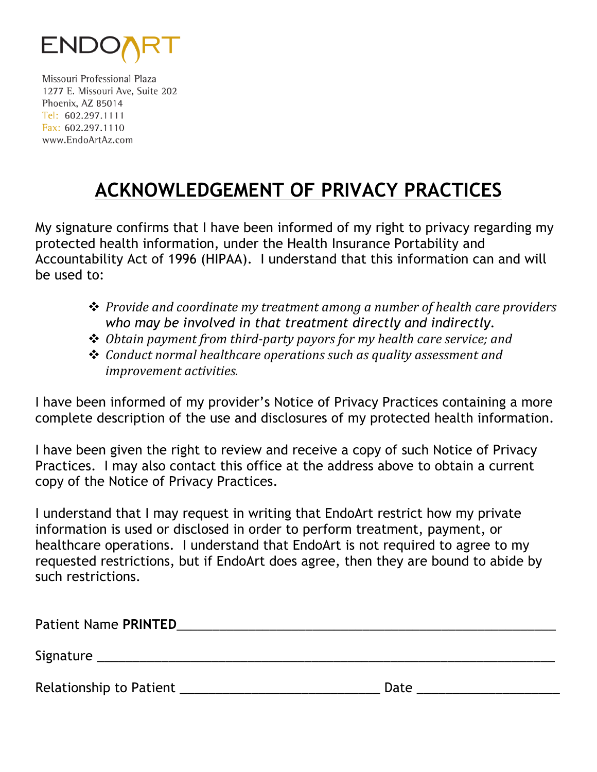

Missouri Professional Plaza 1277 E. Missouri Ave, Suite 202 Phoenix, AZ 85014 Tel: 602.297.1111 Fax: 602.297.1110 www.EndoArtAz.com

# **ACKNOWLEDGEMENT OF PRIVACY PRACTICES**

My signature confirms that I have been informed of my right to privacy regarding my protected health information, under the Health Insurance Portability and Accountability Act of 1996 (HIPAA). I understand that this information can and will be used to:

- **→** *Provide and coordinate my treatment among a number of health care providers who may be involved in that treatment directly and indirectly.*
- **→** *Obtain payment from third-party payors for my health care service; and*
- **→** *Conduct normal healthcare operations such as quality assessment and improvement activities.*

I have been informed of my provider's Notice of Privacy Practices containing a more complete description of the use and disclosures of my protected health information.

I have been given the right to review and receive a copy of such Notice of Privacy Practices. I may also contact this office at the address above to obtain a current copy of the Notice of Privacy Practices.

I understand that I may request in writing that EndoArt restrict how my private information is used or disclosed in order to perform treatment, payment, or healthcare operations. I understand that EndoArt is not required to agree to my requested restrictions, but if EndoArt does agree, then they are bound to abide by such restrictions.

| <b>Patient Name PRINTED</b> |      |  |
|-----------------------------|------|--|
| Signature                   |      |  |
| Relationship to Patient     | Date |  |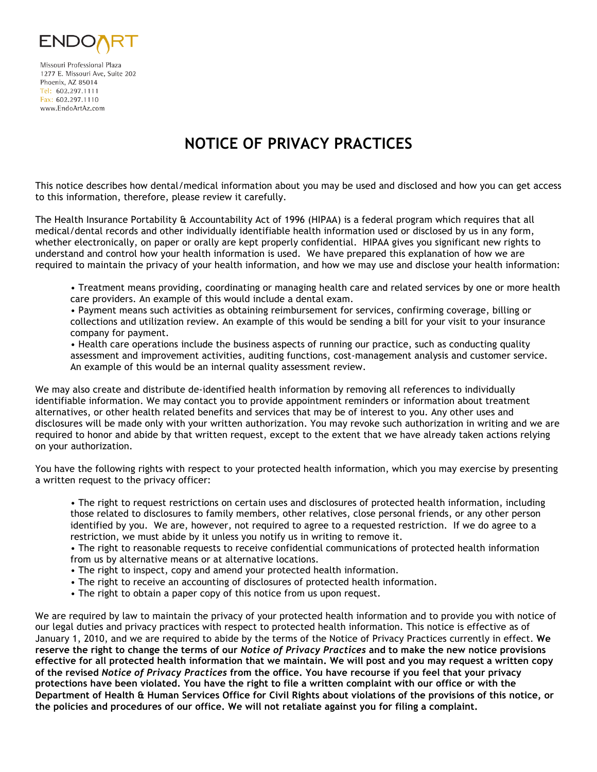

Missouri Professional Plaza 1277 E. Missouri Ave, Suite 202 Phoenix, AZ 85014 Tel: 602.297.1111 Fax: 602.297.1110 www.EndoArtAz.com

# **NOTICE OF PRIVACY PRACTICES**

This notice describes how dental/medical information about you may be used and disclosed and how you can get access to this information, therefore, please review it carefully.

The Health Insurance Portability & Accountability Act of 1996 (HIPAA) is a federal program which requires that all medical/dental records and other individually identifiable health information used or disclosed by us in any form, whether electronically, on paper or orally are kept properly confidential. HIPAA gives you significant new rights to understand and control how your health information is used. We have prepared this explanation of how we are required to maintain the privacy of your health information, and how we may use and disclose your health information:

• Treatment means providing, coordinating or managing health care and related services by one or more health care providers. An example of this would include a dental exam.

• Payment means such activities as obtaining reimbursement for services, confirming coverage, billing or collections and utilization review. An example of this would be sending a bill for your visit to your insurance company for payment.

• Health care operations include the business aspects of running our practice, such as conducting quality assessment and improvement activities, auditing functions, cost-management analysis and customer service. An example of this would be an internal quality assessment review.

We may also create and distribute de-identified health information by removing all references to individually identifiable information. We may contact you to provide appointment reminders or information about treatment alternatives, or other health related benefits and services that may be of interest to you. Any other uses and disclosures will be made only with your written authorization. You may revoke such authorization in writing and we are required to honor and abide by that written request, except to the extent that we have already taken actions relying on your authorization.

You have the following rights with respect to your protected health information, which you may exercise by presenting a written request to the privacy officer:

• The right to request restrictions on certain uses and disclosures of protected health information, including those related to disclosures to family members, other relatives, close personal friends, or any other person identified by you. We are, however, not required to agree to a requested restriction. If we do agree to a restriction, we must abide by it unless you notify us in writing to remove it.

• The right to reasonable requests to receive confidential communications of protected health information from us by alternative means or at alternative locations.

- The right to inspect, copy and amend your protected health information.
- The right to receive an accounting of disclosures of protected health information.
- The right to obtain a paper copy of this notice from us upon request.

We are required by law to maintain the privacy of your protected health information and to provide you with notice of our legal duties and privacy practices with respect to protected health information. This notice is effective as of January 1, 2010, and we are required to abide by the terms of the Notice of Privacy Practices currently in effect. **We reserve the right to change the terms of our** *Notice of Privacy Practices* **and to make the new notice provisions effective for all protected health information that we maintain. We will post and you may request a written copy of the revised** *Notice of Privacy Practices* **from the office. You have recourse if you feel that your privacy protections have been violated. You have the right to file a written complaint with our office or with the Department of Health & Human Services Office for Civil Rights about violations of the provisions of this notice, or the policies and procedures of our office. We will not retaliate against you for filing a complaint.**